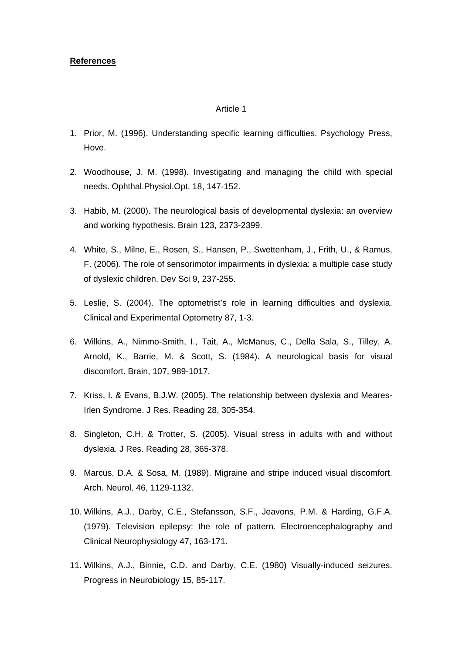# **References**

- 1. Prior, M. (1996). Understanding specific learning difficulties. Psychology Press, Hove.
- 2. Woodhouse, J. M. (1998). Investigating and managing the child with special needs. Ophthal.Physiol.Opt. 18, 147-152.
- 3. Habib, M. (2000). The neurological basis of developmental dyslexia: an overview and working hypothesis. Brain 123, 2373-2399.
- 4. White, S., Milne, E., Rosen, S., Hansen, P., Swettenham, J., Frith, U., & Ramus, F. (2006). The role of sensorimotor impairments in dyslexia: a multiple case study of dyslexic children. Dev Sci 9, 237-255.
- 5. Leslie, S. (2004). The optometrist's role in learning difficulties and dyslexia. Clinical and Experimental Optometry 87, 1-3.
- 6. Wilkins, A., Nimmo-Smith, I., Tait, A., McManus, C., Della Sala, S., Tilley, A. Arnold, K., Barrie, M. & Scott, S. (1984). A neurological basis for visual discomfort. Brain, 107, 989-1017.
- 7. Kriss, I. & Evans, B.J.W. (2005). The relationship between dyslexia and Meares-Irlen Syndrome. J Res. Reading 28, 305-354.
- 8. Singleton, C.H. & Trotter, S. (2005). Visual stress in adults with and without dyslexia. J Res. Reading 28, 365-378.
- 9. Marcus, D.A. & Sosa, M. (1989). Migraine and stripe induced visual discomfort. Arch. Neurol. 46, 1129-1132.
- 10. Wilkins, A.J., Darby, C.E., Stefansson, S.F., Jeavons, P.M. & Harding, G.F.A. (1979). Television epilepsy: the role of pattern. Electroencephalography and Clinical Neurophysiology 47, 163-171.
- 11. Wilkins, A.J., Binnie, C.D. and Darby, C.E. (1980) Visually-induced seizures. Progress in Neurobiology 15, 85-117.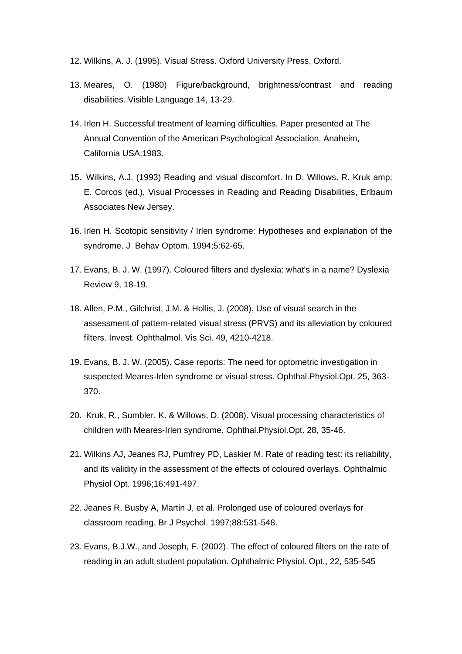- 12. Wilkins, A. J. (1995). Visual Stress. Oxford University Press, Oxford.
- 13. Meares, O. (1980) Figure/background, brightness/contrast and reading disabilities. Visible Language 14, 13-29.
- 14. Irlen H. Successful treatment of learning difficulties. Paper presented at The Annual Convention of the American Psychological Association, Anaheim, California USA;1983.
- 15. Wilkins, A.J. (1993) Reading and visual discomfort. In D. Willows, R. Kruk amp; E. Corcos (ed.), Visual Processes in Reading and Reading Disabilities, Erlbaum Associates New Jersey.
- 16. Irlen H. Scotopic sensitivity / Irlen syndrome: Hypotheses and explanation of the syndrome. J Behav Optom. 1994;5:62-65.
- 17. Evans, B. J. W. (1997). Coloured filters and dyslexia: what's in a name? Dyslexia Review 9, 18-19.
- 18. Allen, P.M., Gilchrist, J.M. & Hollis, J. (2008). Use of visual search in the assessment of pattern-related visual stress (PRVS) and its alleviation by coloured filters. Invest. Ophthalmol. Vis Sci. 49, 4210-4218.
- 19. Evans, B. J. W. (2005). Case reports: The need for optometric investigation in suspected Meares-Irlen syndrome or visual stress. Ophthal.Physiol.Opt. 25, 363- 370.
- 20. Kruk, R., Sumbler, K. & Willows, D. (2008). Visual processing characteristics of children with Meares-Irlen syndrome. Ophthal.Physiol.Opt. 28, 35-46.
- 21. Wilkins AJ, Jeanes RJ, Pumfrey PD, Laskier M. Rate of reading test: its reliability, and its validity in the assessment of the effects of coloured overlays. Ophthalmic Physiol Opt. 1996;16:491-497.
- 22. Jeanes R, Busby A, Martin J, et al. Prolonged use of coloured overlays for classroom reading. Br J Psychol. 1997;88:531-548.
- 23. Evans, B.J.W., and Joseph, F. (2002). The effect of coloured filters on the rate of reading in an adult student population. Ophthalmic Physiol. Opt., 22, 535-545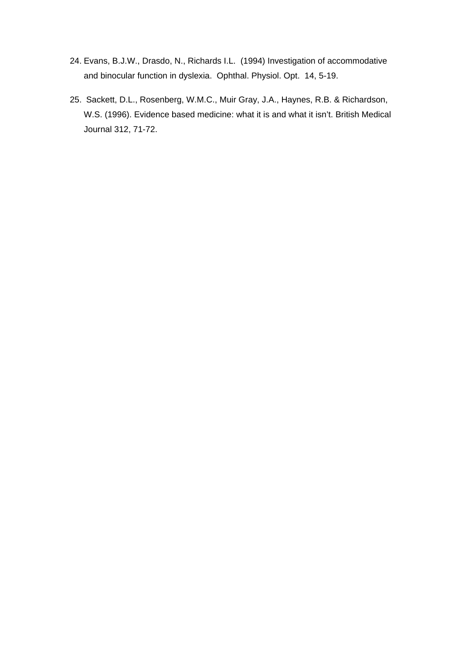- 24. Evans, B.J.W., Drasdo, N., Richards I.L. (1994) Investigation of accommodative and binocular function in dyslexia. Ophthal. Physiol. Opt. 14, 5-19.
- 25. Sackett, D.L., Rosenberg, W.M.C., Muir Gray, J.A., Haynes, R.B. & Richardson, W.S. (1996). Evidence based medicine: what it is and what it isn't. British Medical Journal 312, 71-72.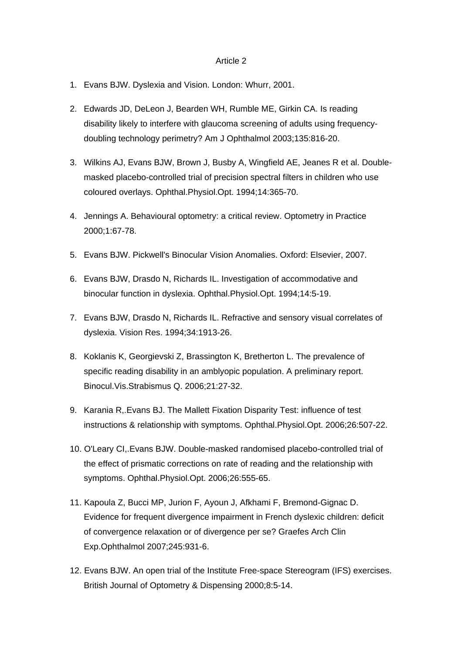- 1. Evans BJW. Dyslexia and Vision. London: Whurr, 2001.
- 2. Edwards JD, DeLeon J, Bearden WH, Rumble ME, Girkin CA. Is reading disability likely to interfere with glaucoma screening of adults using frequencydoubling technology perimetry? Am J Ophthalmol 2003;135:816-20.
- 3. Wilkins AJ, Evans BJW, Brown J, Busby A, Wingfield AE, Jeanes R et al. Doublemasked placebo-controlled trial of precision spectral filters in children who use coloured overlays. Ophthal.Physiol.Opt. 1994;14:365-70.
- 4. Jennings A. Behavioural optometry: a critical review. Optometry in Practice 2000;1:67-78.
- 5. Evans BJW. Pickwell's Binocular Vision Anomalies. Oxford: Elsevier, 2007.
- 6. Evans BJW, Drasdo N, Richards IL. Investigation of accommodative and binocular function in dyslexia. Ophthal.Physiol.Opt. 1994;14:5-19.
- 7. Evans BJW, Drasdo N, Richards IL. Refractive and sensory visual correlates of dyslexia. Vision Res. 1994;34:1913-26.
- 8. Koklanis K, Georgievski Z, Brassington K, Bretherton L. The prevalence of specific reading disability in an amblyopic population. A preliminary report. Binocul.Vis.Strabismus Q. 2006;21:27-32.
- 9. Karania R,.Evans BJ. The Mallett Fixation Disparity Test: influence of test instructions & relationship with symptoms. Ophthal.Physiol.Opt. 2006;26:507-22.
- 10. O'Leary CI,.Evans BJW. Double-masked randomised placebo-controlled trial of the effect of prismatic corrections on rate of reading and the relationship with symptoms. Ophthal.Physiol.Opt. 2006;26:555-65.
- 11. Kapoula Z, Bucci MP, Jurion F, Ayoun J, Afkhami F, Bremond-Gignac D. Evidence for frequent divergence impairment in French dyslexic children: deficit of convergence relaxation or of divergence per se? Graefes Arch Clin Exp.Ophthalmol 2007;245:931-6.
- 12. Evans BJW. An open trial of the Institute Free-space Stereogram (IFS) exercises. British Journal of Optometry & Dispensing 2000;8:5-14.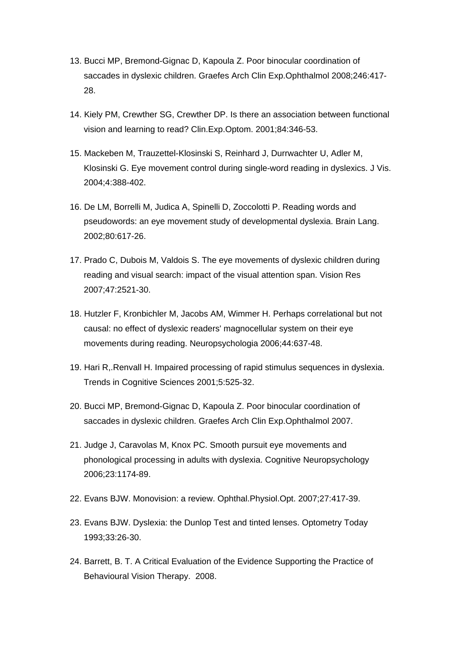- 13. Bucci MP, Bremond-Gignac D, Kapoula Z. Poor binocular coordination of saccades in dyslexic children. Graefes Arch Clin Exp.Ophthalmol 2008;246:417- 28.
- 14. Kiely PM, Crewther SG, Crewther DP. Is there an association between functional vision and learning to read? Clin.Exp.Optom. 2001;84:346-53.
- 15. Mackeben M, Trauzettel-Klosinski S, Reinhard J, Durrwachter U, Adler M, Klosinski G. Eye movement control during single-word reading in dyslexics. J Vis. 2004;4:388-402.
- 16. De LM, Borrelli M, Judica A, Spinelli D, Zoccolotti P. Reading words and pseudowords: an eye movement study of developmental dyslexia. Brain Lang. 2002;80:617-26.
- 17. Prado C, Dubois M, Valdois S. The eye movements of dyslexic children during reading and visual search: impact of the visual attention span. Vision Res 2007;47:2521-30.
- 18. Hutzler F, Kronbichler M, Jacobs AM, Wimmer H. Perhaps correlational but not causal: no effect of dyslexic readers' magnocellular system on their eye movements during reading. Neuropsychologia 2006;44:637-48.
- 19. Hari R,.Renvall H. Impaired processing of rapid stimulus sequences in dyslexia. Trends in Cognitive Sciences 2001;5:525-32.
- 20. Bucci MP, Bremond-Gignac D, Kapoula Z. Poor binocular coordination of saccades in dyslexic children. Graefes Arch Clin Exp.Ophthalmol 2007.
- 21. Judge J, Caravolas M, Knox PC. Smooth pursuit eye movements and phonological processing in adults with dyslexia. Cognitive Neuropsychology 2006;23:1174-89.
- 22. Evans BJW. Monovision: a review. Ophthal.Physiol.Opt. 2007;27:417-39.
- 23. Evans BJW. Dyslexia: the Dunlop Test and tinted lenses. Optometry Today 1993;33:26-30.
- 24. Barrett, B. T. A Critical Evaluation of the Evidence Supporting the Practice of Behavioural Vision Therapy. 2008.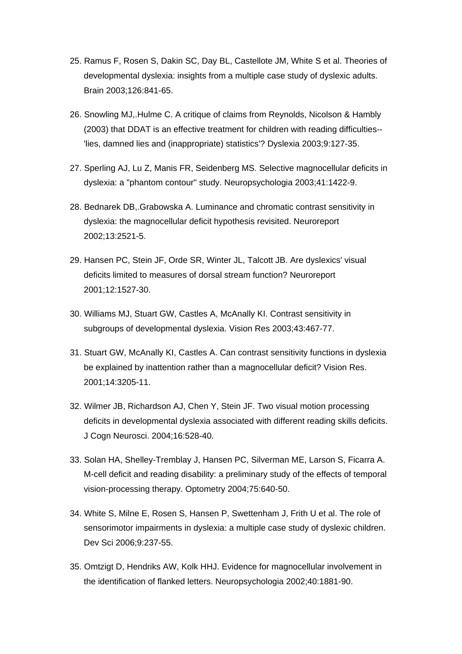- 25. Ramus F, Rosen S, Dakin SC, Day BL, Castellote JM, White S et al. Theories of developmental dyslexia: insights from a multiple case study of dyslexic adults. Brain 2003;126:841-65.
- 26. Snowling MJ,.Hulme C. A critique of claims from Reynolds, Nicolson & Hambly (2003) that DDAT is an effective treatment for children with reading difficulties-- 'lies, damned lies and (inappropriate) statistics'? Dyslexia 2003;9:127-35.
- 27. Sperling AJ, Lu Z, Manis FR, Seidenberg MS. Selective magnocellular deficits in dyslexia: a "phantom contour" study. Neuropsychologia 2003;41:1422-9.
- 28. Bednarek DB,.Grabowska A. Luminance and chromatic contrast sensitivity in dyslexia: the magnocellular deficit hypothesis revisited. Neuroreport 2002;13:2521-5.
- 29. Hansen PC, Stein JF, Orde SR, Winter JL, Talcott JB. Are dyslexics' visual deficits limited to measures of dorsal stream function? Neuroreport 2001;12:1527-30.
- 30. Williams MJ, Stuart GW, Castles A, McAnally KI. Contrast sensitivity in subgroups of developmental dyslexia. Vision Res 2003;43:467-77.
- 31. Stuart GW, McAnally KI, Castles A. Can contrast sensitivity functions in dyslexia be explained by inattention rather than a magnocellular deficit? Vision Res. 2001;14:3205-11.
- 32. Wilmer JB, Richardson AJ, Chen Y, Stein JF. Two visual motion processing deficits in developmental dyslexia associated with different reading skills deficits. J Cogn Neurosci. 2004;16:528-40.
- 33. Solan HA, Shelley-Tremblay J, Hansen PC, Silverman ME, Larson S, Ficarra A. M-cell deficit and reading disability: a preliminary study of the effects of temporal vision-processing therapy. Optometry 2004;75:640-50.
- 34. White S, Milne E, Rosen S, Hansen P, Swettenham J, Frith U et al. The role of sensorimotor impairments in dyslexia: a multiple case study of dyslexic children. Dev Sci 2006;9:237-55.
- 35. Omtzigt D, Hendriks AW, Kolk HHJ. Evidence for magnocellular involvement in the identification of flanked letters. Neuropsychologia 2002;40:1881-90.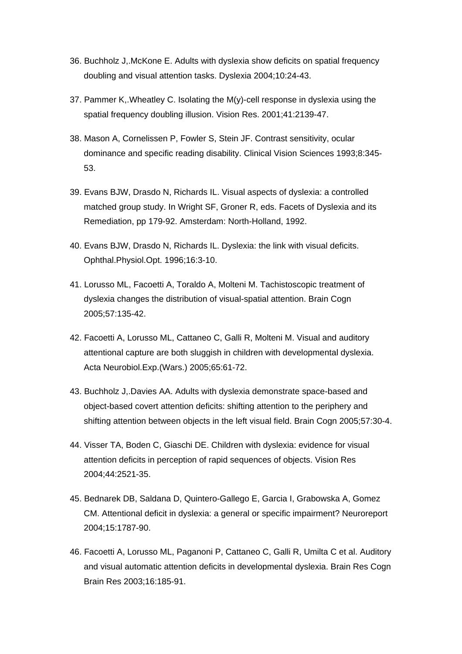- 36. Buchholz J,.McKone E. Adults with dyslexia show deficits on spatial frequency doubling and visual attention tasks. Dyslexia 2004;10:24-43.
- 37. Pammer K,.Wheatley C. Isolating the M(y)-cell response in dyslexia using the spatial frequency doubling illusion. Vision Res. 2001;41:2139-47.
- 38. Mason A, Cornelissen P, Fowler S, Stein JF. Contrast sensitivity, ocular dominance and specific reading disability. Clinical Vision Sciences 1993;8:345- 53.
- 39. Evans BJW, Drasdo N, Richards IL. Visual aspects of dyslexia: a controlled matched group study. In Wright SF, Groner R, eds. Facets of Dyslexia and its Remediation, pp 179-92. Amsterdam: North-Holland, 1992.
- 40. Evans BJW, Drasdo N, Richards IL. Dyslexia: the link with visual deficits. Ophthal.Physiol.Opt. 1996;16:3-10.
- 41. Lorusso ML, Facoetti A, Toraldo A, Molteni M. Tachistoscopic treatment of dyslexia changes the distribution of visual-spatial attention. Brain Cogn 2005;57:135-42.
- 42. Facoetti A, Lorusso ML, Cattaneo C, Galli R, Molteni M. Visual and auditory attentional capture are both sluggish in children with developmental dyslexia. Acta Neurobiol.Exp.(Wars.) 2005;65:61-72.
- 43. Buchholz J,.Davies AA. Adults with dyslexia demonstrate space-based and object-based covert attention deficits: shifting attention to the periphery and shifting attention between objects in the left visual field. Brain Cogn 2005;57:30-4.
- 44. Visser TA, Boden C, Giaschi DE. Children with dyslexia: evidence for visual attention deficits in perception of rapid sequences of objects. Vision Res 2004;44:2521-35.
- 45. Bednarek DB, Saldana D, Quintero-Gallego E, Garcia I, Grabowska A, Gomez CM. Attentional deficit in dyslexia: a general or specific impairment? Neuroreport 2004;15:1787-90.
- 46. Facoetti A, Lorusso ML, Paganoni P, Cattaneo C, Galli R, Umilta C et al. Auditory and visual automatic attention deficits in developmental dyslexia. Brain Res Cogn Brain Res 2003;16:185-91.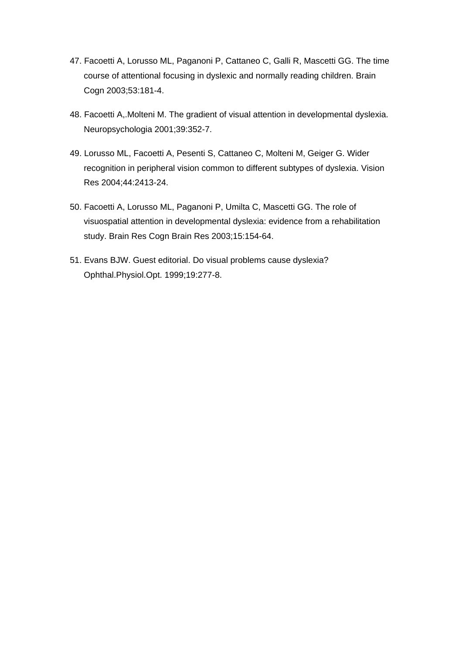- 47. Facoetti A, Lorusso ML, Paganoni P, Cattaneo C, Galli R, Mascetti GG. The time course of attentional focusing in dyslexic and normally reading children. Brain Cogn 2003;53:181-4.
- 48. Facoetti A,.Molteni M. The gradient of visual attention in developmental dyslexia. Neuropsychologia 2001;39:352-7.
- 49. Lorusso ML, Facoetti A, Pesenti S, Cattaneo C, Molteni M, Geiger G. Wider recognition in peripheral vision common to different subtypes of dyslexia. Vision Res 2004;44:2413-24.
- 50. Facoetti A, Lorusso ML, Paganoni P, Umilta C, Mascetti GG. The role of visuospatial attention in developmental dyslexia: evidence from a rehabilitation study. Brain Res Cogn Brain Res 2003;15:154-64.
- 51. Evans BJW. Guest editorial. Do visual problems cause dyslexia? Ophthal.Physiol.Opt. 1999;19:277-8.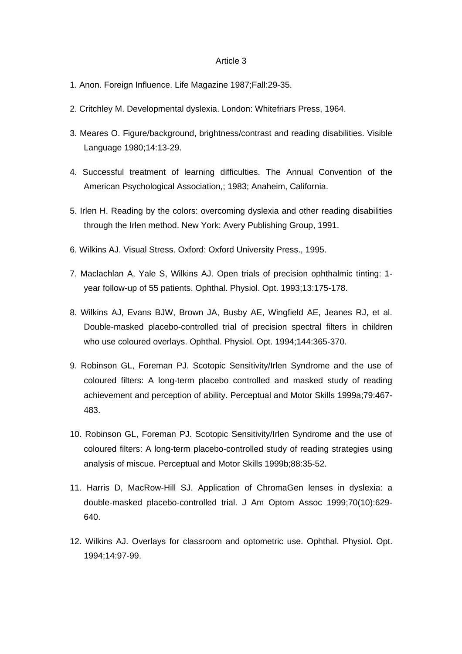- 1. Anon. Foreign Influence. Life Magazine 1987;Fall:29-35.
- 2. Critchley M. Developmental dyslexia. London: Whitefriars Press, 1964.
- 3. Meares O. Figure/background, brightness/contrast and reading disabilities. Visible Language 1980;14:13-29.
- 4. Successful treatment of learning difficulties. The Annual Convention of the American Psychological Association,; 1983; Anaheim, California.
- 5. Irlen H. Reading by the colors: overcoming dyslexia and other reading disabilities through the Irlen method. New York: Avery Publishing Group, 1991.
- 6. Wilkins AJ. Visual Stress. Oxford: Oxford University Press., 1995.
- 7. Maclachlan A, Yale S, Wilkins AJ. Open trials of precision ophthalmic tinting: 1 year follow-up of 55 patients. Ophthal. Physiol. Opt. 1993;13:175-178.
- 8. Wilkins AJ, Evans BJW, Brown JA, Busby AE, Wingfield AE, Jeanes RJ, et al. Double-masked placebo-controlled trial of precision spectral filters in children who use coloured overlays. Ophthal. Physiol. Opt. 1994;144:365-370.
- 9. Robinson GL, Foreman PJ. Scotopic Sensitivity/Irlen Syndrome and the use of coloured filters: A long-term placebo controlled and masked study of reading achievement and perception of ability. Perceptual and Motor Skills 1999a;79:467- 483.
- 10. Robinson GL, Foreman PJ. Scotopic Sensitivity/Irlen Syndrome and the use of coloured filters: A long-term placebo-controlled study of reading strategies using analysis of miscue. Perceptual and Motor Skills 1999b;88:35-52.
- 11. Harris D, MacRow-Hill SJ. Application of ChromaGen lenses in dyslexia: a double-masked placebo-controlled trial. J Am Optom Assoc 1999;70(10):629- 640.
- 12. Wilkins AJ. Overlays for classroom and optometric use. Ophthal. Physiol. Opt. 1994;14:97-99.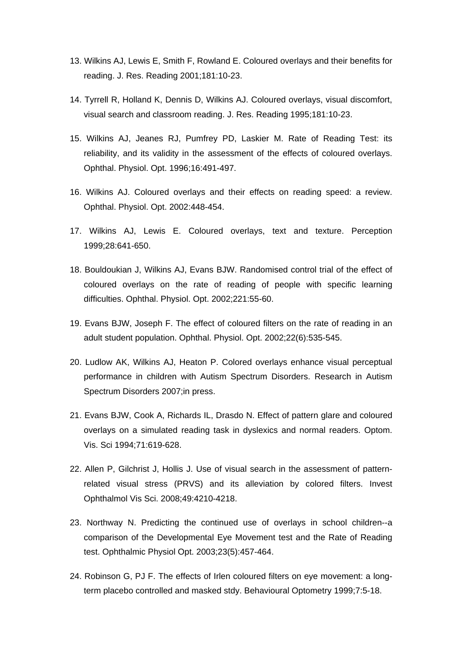- 13. Wilkins AJ, Lewis E, Smith F, Rowland E. Coloured overlays and their benefits for reading. J. Res. Reading 2001;181:10-23.
- 14. Tyrrell R, Holland K, Dennis D, Wilkins AJ. Coloured overlays, visual discomfort, visual search and classroom reading. J. Res. Reading 1995;181:10-23.
- 15. Wilkins AJ, Jeanes RJ, Pumfrey PD, Laskier M. Rate of Reading Test: its reliability, and its validity in the assessment of the effects of coloured overlays. Ophthal. Physiol. Opt. 1996;16:491-497.
- 16. Wilkins AJ. Coloured overlays and their effects on reading speed: a review. Ophthal. Physiol. Opt. 2002:448-454.
- 17. Wilkins AJ, Lewis E. Coloured overlays, text and texture. Perception 1999;28:641-650.
- 18. Bouldoukian J, Wilkins AJ, Evans BJW. Randomised control trial of the effect of coloured overlays on the rate of reading of people with specific learning difficulties. Ophthal. Physiol. Opt. 2002;221:55-60.
- 19. Evans BJW, Joseph F. The effect of coloured filters on the rate of reading in an adult student population. Ophthal. Physiol. Opt. 2002;22(6):535-545.
- 20. Ludlow AK, Wilkins AJ, Heaton P. Colored overlays enhance visual perceptual performance in children with Autism Spectrum Disorders. Research in Autism Spectrum Disorders 2007;in press.
- 21. Evans BJW, Cook A, Richards IL, Drasdo N. Effect of pattern glare and coloured overlays on a simulated reading task in dyslexics and normal readers. Optom. Vis. Sci 1994;71:619-628.
- 22. Allen P, Gilchrist J, Hollis J. Use of visual search in the assessment of patternrelated visual stress (PRVS) and its alleviation by colored filters. Invest Ophthalmol Vis Sci. 2008;49:4210-4218.
- 23. Northway N. Predicting the continued use of overlays in school children--a comparison of the Developmental Eye Movement test and the Rate of Reading test. Ophthalmic Physiol Opt. 2003;23(5):457-464.
- 24. Robinson G, PJ F. The effects of Irlen coloured filters on eye movement: a longterm placebo controlled and masked stdy. Behavioural Optometry 1999;7:5-18.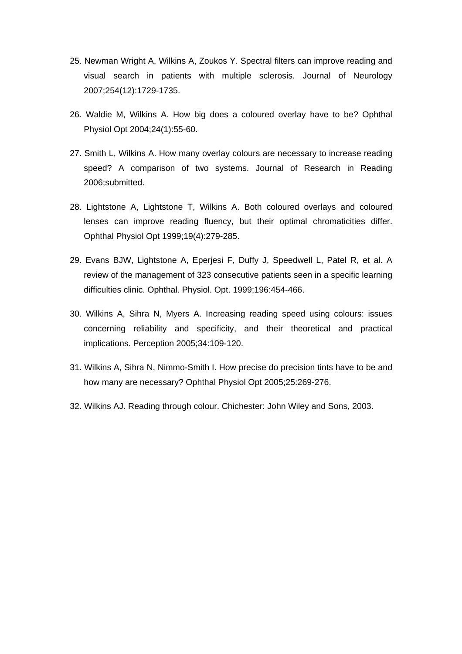- 25. Newman Wright A, Wilkins A, Zoukos Y. Spectral filters can improve reading and visual search in patients with multiple sclerosis. Journal of Neurology 2007;254(12):1729-1735.
- 26. Waldie M, Wilkins A. How big does a coloured overlay have to be? Ophthal Physiol Opt 2004;24(1):55-60.
- 27. Smith L, Wilkins A. How many overlay colours are necessary to increase reading speed? A comparison of two systems. Journal of Research in Reading 2006;submitted.
- 28. Lightstone A, Lightstone T, Wilkins A. Both coloured overlays and coloured lenses can improve reading fluency, but their optimal chromaticities differ. Ophthal Physiol Opt 1999;19(4):279-285.
- 29. Evans BJW, Lightstone A, Eperjesi F, Duffy J, Speedwell L, Patel R, et al. A review of the management of 323 consecutive patients seen in a specific learning difficulties clinic. Ophthal. Physiol. Opt. 1999;196:454-466.
- 30. Wilkins A, Sihra N, Myers A. Increasing reading speed using colours: issues concerning reliability and specificity, and their theoretical and practical implications. Perception 2005;34:109-120.
- 31. Wilkins A, Sihra N, Nimmo-Smith I. How precise do precision tints have to be and how many are necessary? Ophthal Physiol Opt 2005;25:269-276.
- 32. Wilkins AJ. Reading through colour. Chichester: John Wiley and Sons, 2003.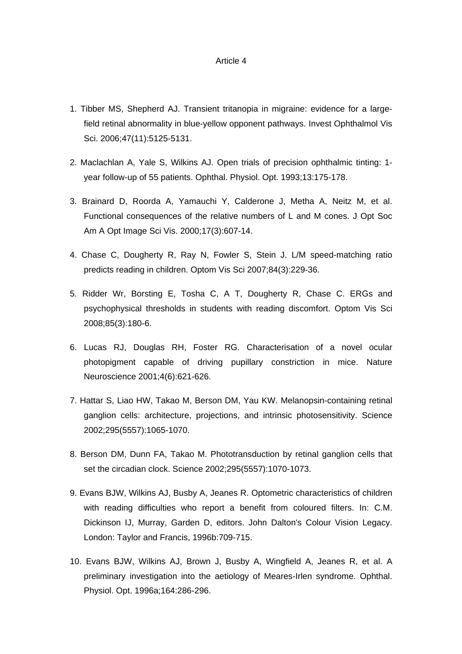- 1. Tibber MS, Shepherd AJ. Transient tritanopia in migraine: evidence for a largefield retinal abnormality in blue-yellow opponent pathways. Invest Ophthalmol Vis Sci. 2006;47(11):5125-5131.
- 2. Maclachlan A, Yale S, Wilkins AJ. Open trials of precision ophthalmic tinting: 1 year follow-up of 55 patients. Ophthal. Physiol. Opt. 1993;13:175-178.
- 3. Brainard D, Roorda A, Yamauchi Y, Calderone J, Metha A, Neitz M, et al. Functional consequences of the relative numbers of L and M cones. J Opt Soc Am A Opt Image Sci Vis. 2000;17(3):607-14.
- 4. Chase C, Dougherty R, Ray N, Fowler S, Stein J. L/M speed-matching ratio predicts reading in children. Optom Vis Sci 2007;84(3):229-36.
- 5. Ridder Wr, Borsting E, Tosha C, A T, Dougherty R, Chase C. ERGs and psychophysical thresholds in students with reading discomfort. Optom Vis Sci 2008;85(3):180-6.
- 6. Lucas RJ, Douglas RH, Foster RG. Characterisation of a novel ocular photopigment capable of driving pupillary constriction in mice. Nature Neuroscience 2001;4(6):621-626.
- 7. Hattar S, Liao HW, Takao M, Berson DM, Yau KW. Melanopsin-containing retinal ganglion cells: architecture, projections, and intrinsic photosensitivity. Science 2002;295(5557):1065-1070.
- 8. Berson DM, Dunn FA, Takao M. Phototransduction by retinal ganglion cells that set the circadian clock. Science 2002;295(5557):1070-1073.
- 9. Evans BJW, Wilkins AJ, Busby A, Jeanes R. Optometric characteristics of children with reading difficulties who report a benefit from coloured filters. In: C.M. Dickinson IJ, Murray, Garden D, editors. John Dalton's Colour Vision Legacy. London: Taylor and Francis, 1996b:709-715.
- 10. Evans BJW, Wilkins AJ, Brown J, Busby A, Wingfield A, Jeanes R, et al. A preliminary investigation into the aetiology of Meares-Irlen syndrome. Ophthal. Physiol. Opt. 1996a;164:286-296.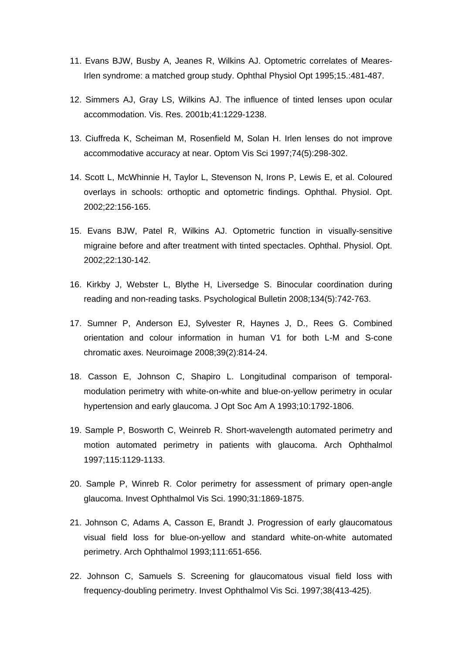- 11. Evans BJW, Busby A, Jeanes R, Wilkins AJ. Optometric correlates of Meares-Irlen syndrome: a matched group study. Ophthal Physiol Opt 1995;15.:481-487.
- 12. Simmers AJ, Gray LS, Wilkins AJ. The influence of tinted lenses upon ocular accommodation. Vis. Res. 2001b;41:1229-1238.
- 13. Ciuffreda K, Scheiman M, Rosenfield M, Solan H. Irlen lenses do not improve accommodative accuracy at near. Optom Vis Sci 1997;74(5):298-302.
- 14. Scott L, McWhinnie H, Taylor L, Stevenson N, Irons P, Lewis E, et al. Coloured overlays in schools: orthoptic and optometric findings. Ophthal. Physiol. Opt. 2002;22:156-165.
- 15. Evans BJW, Patel R, Wilkins AJ. Optometric function in visually-sensitive migraine before and after treatment with tinted spectacles. Ophthal. Physiol. Opt. 2002;22:130-142.
- 16. Kirkby J, Webster L, Blythe H, Liversedge S. Binocular coordination during reading and non-reading tasks. Psychological Bulletin 2008;134(5):742-763.
- 17. Sumner P, Anderson EJ, Sylvester R, Haynes J, D., Rees G. Combined orientation and colour information in human V1 for both L-M and S-cone chromatic axes. Neuroimage 2008;39(2):814-24.
- 18. Casson E, Johnson C, Shapiro L. Longitudinal comparison of temporalmodulation perimetry with white-on-white and blue-on-yellow perimetry in ocular hypertension and early glaucoma. J Opt Soc Am A 1993;10:1792-1806.
- 19. Sample P, Bosworth C, Weinreb R. Short-wavelength automated perimetry and motion automated perimetry in patients with glaucoma. Arch Ophthalmol 1997;115:1129-1133.
- 20. Sample P, Winreb R. Color perimetry for assessment of primary open-angle glaucoma. Invest Ophthalmol Vis Sci. 1990;31:1869-1875.
- 21. Johnson C, Adams A, Casson E, Brandt J. Progression of early glaucomatous visual field loss for blue-on-yellow and standard white-on-white automated perimetry. Arch Ophthalmol 1993;111:651-656.
- 22. Johnson C, Samuels S. Screening for glaucomatous visual field loss with frequency-doubling perimetry. Invest Ophthalmol Vis Sci. 1997;38(413-425).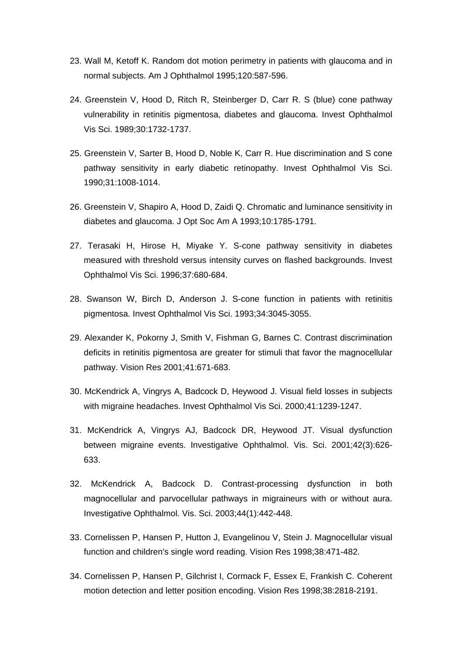- 23. Wall M, Ketoff K. Random dot motion perimetry in patients with glaucoma and in normal subjects. Am J Ophthalmol 1995;120:587-596.
- 24. Greenstein V, Hood D, Ritch R, Steinberger D, Carr R. S (blue) cone pathway vulnerability in retinitis pigmentosa, diabetes and glaucoma. Invest Ophthalmol Vis Sci. 1989;30:1732-1737.
- 25. Greenstein V, Sarter B, Hood D, Noble K, Carr R. Hue discrimination and S cone pathway sensitivity in early diabetic retinopathy. Invest Ophthalmol Vis Sci. 1990;31:1008-1014.
- 26. Greenstein V, Shapiro A, Hood D, Zaidi Q. Chromatic and luminance sensitivity in diabetes and glaucoma. J Opt Soc Am A 1993;10:1785-1791.
- 27. Terasaki H, Hirose H, Miyake Y. S-cone pathway sensitivity in diabetes measured with threshold versus intensity curves on flashed backgrounds. Invest Ophthalmol Vis Sci. 1996;37:680-684.
- 28. Swanson W, Birch D, Anderson J. S-cone function in patients with retinitis pigmentosa. Invest Ophthalmol Vis Sci. 1993;34:3045-3055.
- 29. Alexander K, Pokorny J, Smith V, Fishman G, Barnes C. Contrast discrimination deficits in retinitis pigmentosa are greater for stimuli that favor the magnocellular pathway. Vision Res 2001;41:671-683.
- 30. McKendrick A, Vingrys A, Badcock D, Heywood J. Visual field losses in subjects with migraine headaches. Invest Ophthalmol Vis Sci. 2000;41:1239-1247.
- 31. McKendrick A, Vingrys AJ, Badcock DR, Heywood JT. Visual dysfunction between migraine events. Investigative Ophthalmol. Vis. Sci. 2001;42(3):626- 633.
- 32. McKendrick A, Badcock D. Contrast-processing dysfunction in both magnocellular and parvocellular pathways in migraineurs with or without aura. Investigative Ophthalmol. Vis. Sci. 2003;44(1):442-448.
- 33. Cornelissen P, Hansen P, Hutton J, Evangelinou V, Stein J. Magnocellular visual function and children's single word reading. Vision Res 1998;38:471-482.
- 34. Cornelissen P, Hansen P, Gilchrist I, Cormack F, Essex E, Frankish C. Coherent motion detection and letter position encoding. Vision Res 1998;38:2818-2191.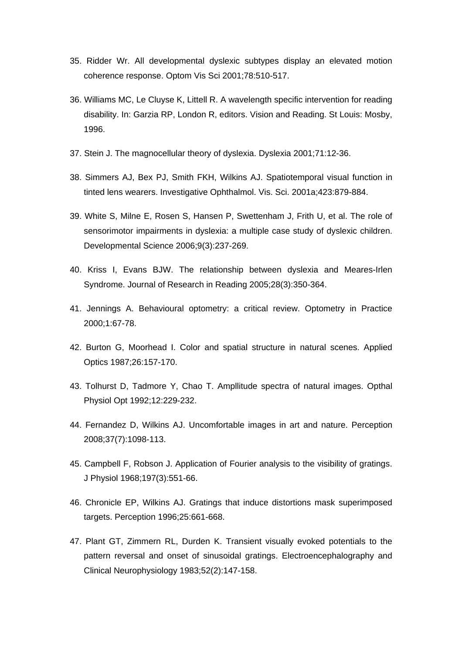- 35. Ridder Wr. All developmental dyslexic subtypes display an elevated motion coherence response. Optom Vis Sci 2001;78:510-517.
- 36. Williams MC, Le Cluyse K, Littell R. A wavelength specific intervention for reading disability. In: Garzia RP, London R, editors. Vision and Reading. St Louis: Mosby, 1996.
- 37. Stein J. The magnocellular theory of dyslexia. Dyslexia 2001;71:12-36.
- 38. Simmers AJ, Bex PJ, Smith FKH, Wilkins AJ. Spatiotemporal visual function in tinted lens wearers. Investigative Ophthalmol. Vis. Sci. 2001a;423:879-884.
- 39. White S, Milne E, Rosen S, Hansen P, Swettenham J, Frith U, et al. The role of sensorimotor impairments in dyslexia: a multiple case study of dyslexic children. Developmental Science 2006;9(3):237-269.
- 40. Kriss I, Evans BJW. The relationship between dyslexia and Meares-Irlen Syndrome. Journal of Research in Reading 2005;28(3):350-364.
- 41. Jennings A. Behavioural optometry: a critical review. Optometry in Practice 2000;1:67-78.
- 42. Burton G, Moorhead I. Color and spatial structure in natural scenes. Applied Optics 1987;26:157-170.
- 43. Tolhurst D, Tadmore Y, Chao T. Ampllitude spectra of natural images. Opthal Physiol Opt 1992;12:229-232.
- 44. Fernandez D, Wilkins AJ. Uncomfortable images in art and nature. Perception 2008;37(7):1098-113.
- 45. Campbell F, Robson J. Application of Fourier analysis to the visibility of gratings. J Physiol 1968;197(3):551-66.
- 46. Chronicle EP, Wilkins AJ. Gratings that induce distortions mask superimposed targets. Perception 1996;25:661-668.
- 47. Plant GT, Zimmern RL, Durden K. Transient visually evoked potentials to the pattern reversal and onset of sinusoidal gratings. Electroencephalography and Clinical Neurophysiology 1983;52(2):147-158.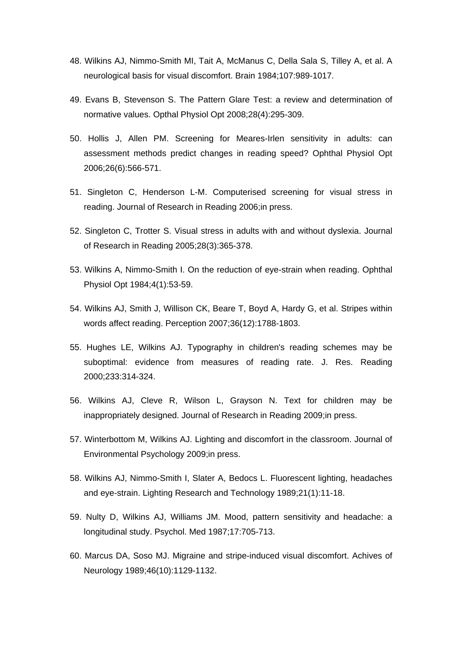- 48. Wilkins AJ, Nimmo-Smith MI, Tait A, McManus C, Della Sala S, Tilley A, et al. A neurological basis for visual discomfort. Brain 1984;107:989-1017.
- 49. Evans B, Stevenson S. The Pattern Glare Test: a review and determination of normative values. Opthal Physiol Opt 2008;28(4):295-309.
- 50. Hollis J, Allen PM. Screening for Meares-Irlen sensitivity in adults: can assessment methods predict changes in reading speed? Ophthal Physiol Opt 2006;26(6):566-571.
- 51. Singleton C, Henderson L-M. Computerised screening for visual stress in reading. Journal of Research in Reading 2006;in press.
- 52. Singleton C, Trotter S. Visual stress in adults with and without dyslexia. Journal of Research in Reading 2005;28(3):365-378.
- 53. Wilkins A, Nimmo-Smith I. On the reduction of eye-strain when reading. Ophthal Physiol Opt 1984;4(1):53-59.
- 54. Wilkins AJ, Smith J, Willison CK, Beare T, Boyd A, Hardy G, et al. Stripes within words affect reading. Perception 2007;36(12):1788-1803.
- 55. Hughes LE, Wilkins AJ. Typography in children's reading schemes may be suboptimal: evidence from measures of reading rate. J. Res. Reading 2000;233:314-324.
- 56. Wilkins AJ, Cleve R, Wilson L, Grayson N. Text for children may be inappropriately designed. Journal of Research in Reading 2009;in press.
- 57. Winterbottom M, Wilkins AJ. Lighting and discomfort in the classroom. Journal of Environmental Psychology 2009;in press.
- 58. Wilkins AJ, Nimmo-Smith I, Slater A, Bedocs L. Fluorescent lighting, headaches and eye-strain. Lighting Research and Technology 1989;21(1):11-18.
- 59. Nulty D, Wilkins AJ, Williams JM. Mood, pattern sensitivity and headache: a longitudinal study. Psychol. Med 1987;17:705-713.
- 60. Marcus DA, Soso MJ. Migraine and stripe-induced visual discomfort. Achives of Neurology 1989;46(10):1129-1132.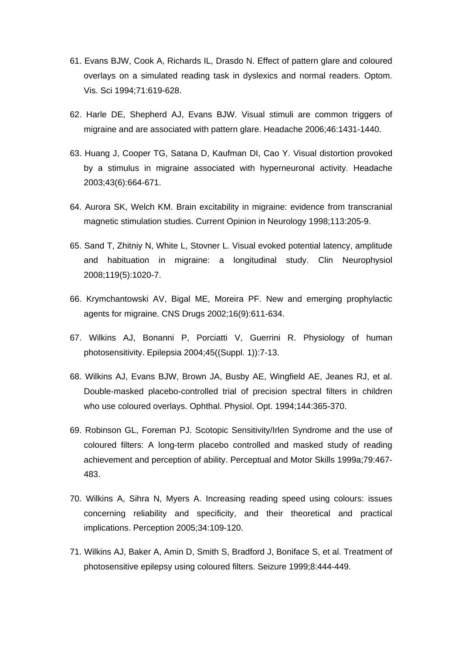- 61. Evans BJW, Cook A, Richards IL, Drasdo N. Effect of pattern glare and coloured overlays on a simulated reading task in dyslexics and normal readers. Optom. Vis. Sci 1994;71:619-628.
- 62. Harle DE, Shepherd AJ, Evans BJW. Visual stimuli are common triggers of migraine and are associated with pattern glare. Headache 2006;46:1431-1440.
- 63. Huang J, Cooper TG, Satana D, Kaufman DI, Cao Y. Visual distortion provoked by a stimulus in migraine associated with hyperneuronal activity. Headache 2003;43(6):664-671.
- 64. Aurora SK, Welch KM. Brain excitability in migraine: evidence from transcranial magnetic stimulation studies. Current Opinion in Neurology 1998;113:205-9.
- 65. Sand T, Zhitniy N, White L, Stovner L. Visual evoked potential latency, amplitude and habituation in migraine: a longitudinal study. Clin Neurophysiol 2008;119(5):1020-7.
- 66. Krymchantowski AV, Bigal ME, Moreira PF. New and emerging prophylactic agents for migraine. CNS Drugs 2002;16(9):611-634.
- 67. Wilkins AJ, Bonanni P, Porciatti V, Guerrini R. Physiology of human photosensitivity. Epilepsia 2004;45((Suppl. 1)):7-13.
- 68. Wilkins AJ, Evans BJW, Brown JA, Busby AE, Wingfield AE, Jeanes RJ, et al. Double-masked placebo-controlled trial of precision spectral filters in children who use coloured overlays. Ophthal. Physiol. Opt. 1994;144:365-370.
- 69. Robinson GL, Foreman PJ. Scotopic Sensitivity/Irlen Syndrome and the use of coloured filters: A long-term placebo controlled and masked study of reading achievement and perception of ability. Perceptual and Motor Skills 1999a;79:467- 483.
- 70. Wilkins A, Sihra N, Myers A. Increasing reading speed using colours: issues concerning reliability and specificity, and their theoretical and practical implications. Perception 2005;34:109-120.
- 71. Wilkins AJ, Baker A, Amin D, Smith S, Bradford J, Boniface S, et al. Treatment of photosensitive epilepsy using coloured filters. Seizure 1999;8:444-449.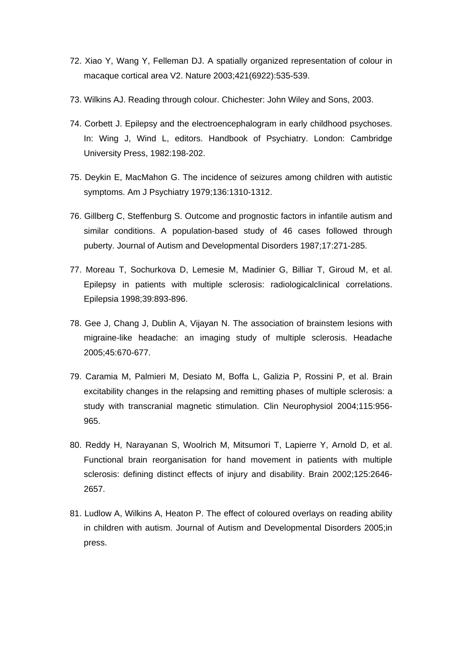- 72. Xiao Y, Wang Y, Felleman DJ. A spatially organized representation of colour in macaque cortical area V2. Nature 2003;421(6922):535-539.
- 73. Wilkins AJ. Reading through colour. Chichester: John Wiley and Sons, 2003.
- 74. Corbett J. Epilepsy and the electroencephalogram in early childhood psychoses. In: Wing J, Wind L, editors. Handbook of Psychiatry. London: Cambridge University Press, 1982:198-202.
- 75. Deykin E, MacMahon G. The incidence of seizures among children with autistic symptoms. Am J Psychiatry 1979;136:1310-1312.
- 76. Gillberg C, Steffenburg S. Outcome and prognostic factors in infantile autism and similar conditions. A population-based study of 46 cases followed through puberty. Journal of Autism and Developmental Disorders 1987;17:271-285.
- 77. Moreau T, Sochurkova D, Lemesie M, Madinier G, Billiar T, Giroud M, et al. Epilepsy in patients with multiple sclerosis: radiologicalclinical correlations. Epilepsia 1998;39:893-896.
- 78. Gee J, Chang J, Dublin A, Vijayan N. The association of brainstem lesions with migraine-like headache: an imaging study of multiple sclerosis. Headache 2005;45:670-677.
- 79. Caramia M, Palmieri M, Desiato M, Boffa L, Galizia P, Rossini P, et al. Brain excitability changes in the relapsing and remitting phases of multiple sclerosis: a study with transcranial magnetic stimulation. Clin Neurophysiol 2004;115:956- 965.
- 80. Reddy H, Narayanan S, Woolrich M, Mitsumori T, Lapierre Y, Arnold D, et al. Functional brain reorganisation for hand movement in patients with multiple sclerosis: defining distinct effects of injury and disability. Brain 2002;125:2646- 2657.
- 81. Ludlow A, Wilkins A, Heaton P. The effect of coloured overlays on reading ability in children with autism. Journal of Autism and Developmental Disorders 2005;in press.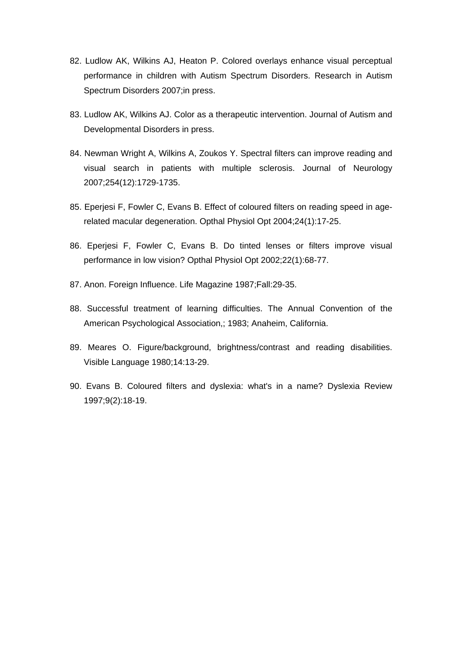- 82. Ludlow AK, Wilkins AJ, Heaton P. Colored overlays enhance visual perceptual performance in children with Autism Spectrum Disorders. Research in Autism Spectrum Disorders 2007;in press.
- 83. Ludlow AK, Wilkins AJ. Color as a therapeutic intervention. Journal of Autism and Developmental Disorders in press.
- 84. Newman Wright A, Wilkins A, Zoukos Y. Spectral filters can improve reading and visual search in patients with multiple sclerosis. Journal of Neurology 2007;254(12):1729-1735.
- 85. Eperjesi F, Fowler C, Evans B. Effect of coloured filters on reading speed in agerelated macular degeneration. Opthal Physiol Opt 2004;24(1):17-25.
- 86. Eperjesi F, Fowler C, Evans B. Do tinted lenses or filters improve visual performance in low vision? Opthal Physiol Opt 2002;22(1):68-77.
- 87. Anon. Foreign Influence. Life Magazine 1987;Fall:29-35.
- 88. Successful treatment of learning difficulties. The Annual Convention of the American Psychological Association,; 1983; Anaheim, California.
- 89. Meares O. Figure/background, brightness/contrast and reading disabilities. Visible Language 1980;14:13-29.
- 90. Evans B. Coloured filters and dyslexia: what's in a name? Dyslexia Review 1997;9(2):18-19.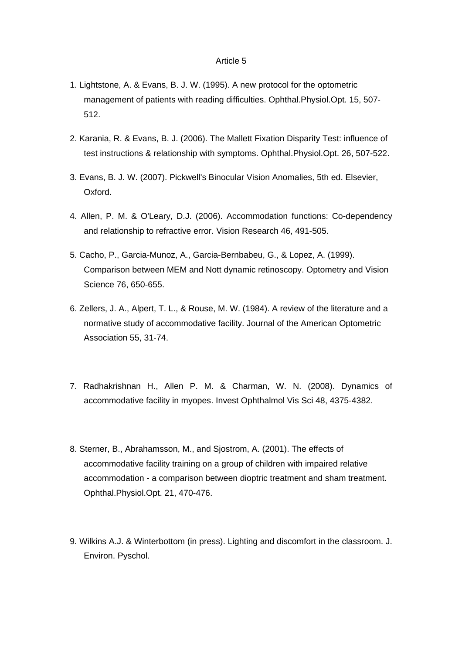- 1. Lightstone, A. & Evans, B. J. W. (1995). A new protocol for the optometric management of patients with reading difficulties. Ophthal.Physiol.Opt. 15, 507- 512.
- 2. Karania, R. & Evans, B. J. (2006). The Mallett Fixation Disparity Test: influence of test instructions & relationship with symptoms. Ophthal.Physiol.Opt. 26, 507-522.
- 3. Evans, B. J. W. (2007). Pickwell's Binocular Vision Anomalies, 5th ed. Elsevier, Oxford.
- 4. Allen, P. M. & O'Leary, D.J. (2006). Accommodation functions: Co-dependency and relationship to refractive error. Vision Research 46, 491-505.
- 5. Cacho, P., Garcia-Munoz, A., Garcia-Bernbabeu, G., & Lopez, A. (1999). Comparison between MEM and Nott dynamic retinoscopy. Optometry and Vision Science 76, 650-655.
- 6. Zellers, J. A., Alpert, T. L., & Rouse, M. W. (1984). A review of the literature and a normative study of accommodative facility. Journal of the American Optometric Association 55, 31-74.
- 7. Radhakrishnan H., Allen P. M. & Charman, W. N. (2008). Dynamics of accommodative facility in myopes. Invest Ophthalmol Vis Sci 48, 4375-4382.
- 8. Sterner, B., Abrahamsson, M., and Sjostrom, A. (2001). The effects of accommodative facility training on a group of children with impaired relative accommodation - a comparison between dioptric treatment and sham treatment. Ophthal.Physiol.Opt. 21, 470-476.
- 9. Wilkins A.J. & Winterbottom (in press). Lighting and discomfort in the classroom. J. Environ. Pyschol.